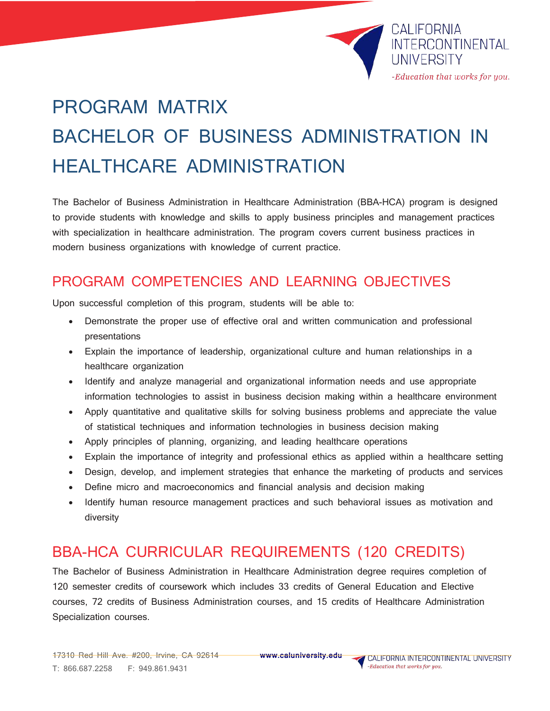

# PROGRAM MATRIX BACHELOR OF BUSINESS ADMINISTRATION IN HEALTHCARE ADMINISTRATION

The Bachelor of Business Administration in Healthcare Administration (BBA-HCA) program is designed to provide students with knowledge and skills to apply business principles and management practices with specialization in healthcare administration. The program covers current business practices in modern business organizations with knowledge of current practice.

## PROGRAM COMPETENCIES AND LEARNING OBJECTIVES

Upon successful completion of this program, students will be able to:

- Demonstrate the proper use of effective oral and written communication and professional presentations
- Explain the importance of leadership, organizational culture and human relationships in a healthcare organization
- Identify and analyze managerial and organizational information needs and use appropriate information technologies to assist in business decision making within a healthcare environment
- Apply quantitative and qualitative skills for solving business problems and appreciate the value of statistical techniques and information technologies in business decision making
- Apply principles of planning, organizing, and leading healthcare operations
- Explain the importance of integrity and professional ethics as applied within a healthcare setting
- Design, develop, and implement strategies that enhance the marketing of products and services
- Define micro and macroeconomics and financial analysis and decision making
- Identify human resource management practices and such behavioral issues as motivation and diversity

## BBA-HCA CURRICULAR REQUIREMENTS (120 CREDITS)

The Bachelor of Business Administration in Healthcare Administration degree requires completion of 120 semester credits of coursework which includes 33 credits of General Education and Elective courses, 72 credits of Business Administration courses, and 15 credits of Healthcare Administration Specialization courses.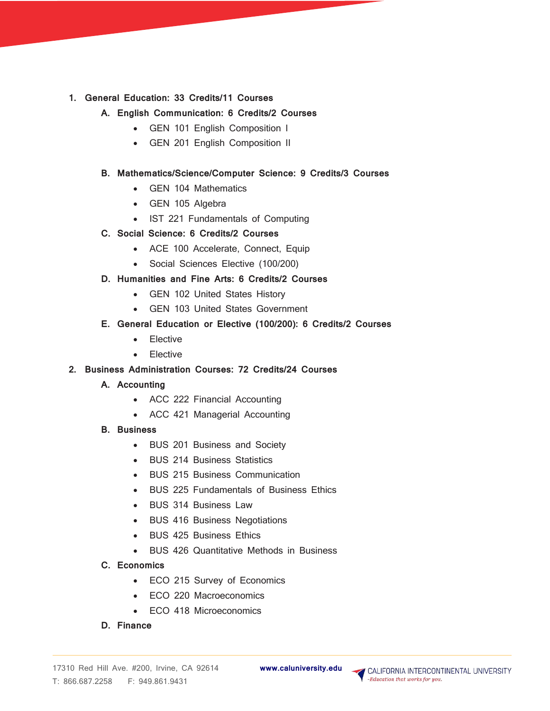#### **1. General Education: 33 Credits/11 Courses**

### **A. English Communication: 6 Credits/2 Courses**

- GEN 101 English Composition I
- GEN 201 English Composition II

#### **B. Mathematics/Science/Computer Science: 9 Credits/3 Courses**

- GEN 104 Mathematics
- GEN 105 Algebra
- IST 221 Fundamentals of Computing

#### **C. Social Science: 6 Credits/2 Courses**

- ACE 100 Accelerate, Connect, Equip
- Social Sciences Elective (100/200)

#### **D. Humanities and Fine Arts: 6 Credits/2 Courses**

- GEN 102 United States History
- GEN 103 United States Government

#### **E. General Education or Elective (100/200): 6 Credits/2 Courses**

- Elective
- Elective

#### **2. Business Administration Courses: 72 Credits/24 Courses**

- **A. Accounting**
	- ACC 222 Financial Accounting
	- ACC 421 Managerial Accounting
- **B. Business**
	- BUS 201 Business and Society
	- BUS 214 Business Statistics
	- BUS 215 Business Communication
	- BUS 225 Fundamentals of Business Ethics
	- BUS 314 Business Law
	- BUS 416 Business Negotiations
	- BUS 425 Business Ethics
	- BUS 426 Quantitative Methods in Business
- **C. Economics**
	- ECO 215 Survey of Economics
	- ECO 220 Macroeconomics
	- ECO 418 Microeconomics
- **D. Finance**

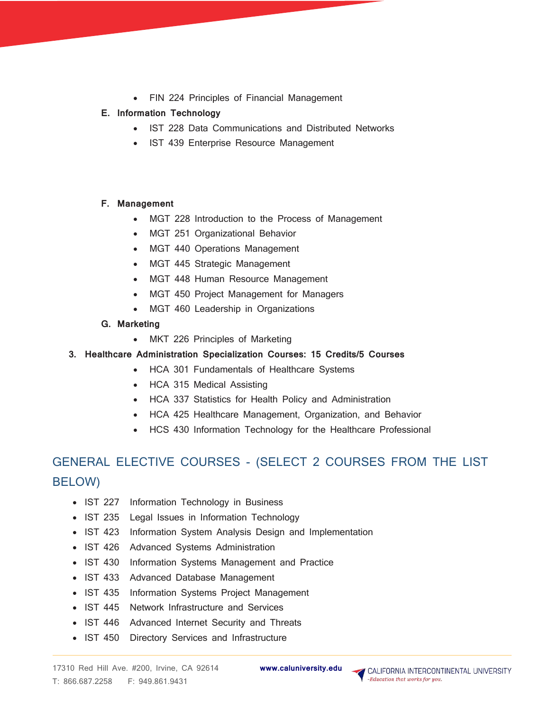• FIN 224 Principles of Financial Management

#### **E. Information Technology**

- IST 228 Data Communications and Distributed Networks
- IST 439 Enterprise Resource Management

#### **F. Management**

- MGT 228 Introduction to the Process of Management
- MGT 251 Organizational Behavior
- MGT 440 Operations Management
- MGT 445 Strategic Management
- MGT 448 Human Resource Management
	- MGT 450 Project Management for Managers
- MGT 460 Leadership in Organizations
- **G. Marketing**
	- MKT 226 Principles of Marketing
- **3. Healthcare Administration Specialization Courses: 15 Credits/5 Courses**
	- HCA 301 Fundamentals of Healthcare Systems
	- HCA 315 Medical Assisting
	- HCA 337 Statistics for Health Policy and Administration
	- HCA 425 Healthcare Management, Organization, and Behavior
	- HCS 430 Information Technology for the Healthcare Professional

## GENERAL ELECTIVE COURSES - (SELECT 2 COURSES FROM THE LIST BELOW)

- IST 227 Information Technology in Business
- IST 235 Legal Issues in Information Technology
- IST 423 Information System Analysis Design and Implementation
- IST 426 Advanced Systems Administration
- IST 430 Information Systems Management and Practice
- IST 433 Advanced Database Management
- IST 435 Information Systems Project Management
- IST 445 Network Infrastructure and Services
- IST 446 Advanced Internet Security and Threats
- IST 450 Directory Services and Infrastructure